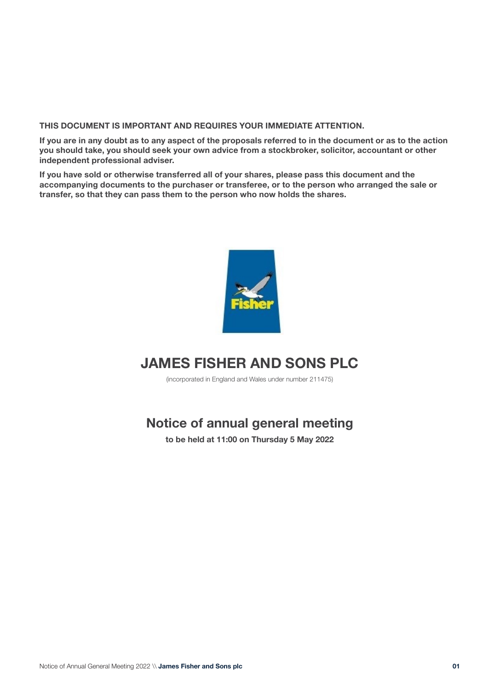# **THIS DOCUMENT IS IMPORTANT AND REQUIRES YOUR IMMEDIATE ATTENTION.**

**If you are in any doubt as to any aspect of the proposals referred to in the document or as to the action you should take, you should seek your own advice from a stockbroker, solicitor, accountant or other independent professional adviser.** 

**If you have sold or otherwise transferred all of your shares, please pass this document and the accompanying documents to the purchaser or transferee, or to the person who arranged the sale or transfer, so that they can pass them to the person who now holds the shares.**



# **JAMES FISHER AND SONS PLC**

(incorporated in England and Wales under number 211475)

# **Notice of annual general meeting**

**to be held at 11:00 on Thursday 5 May 2022**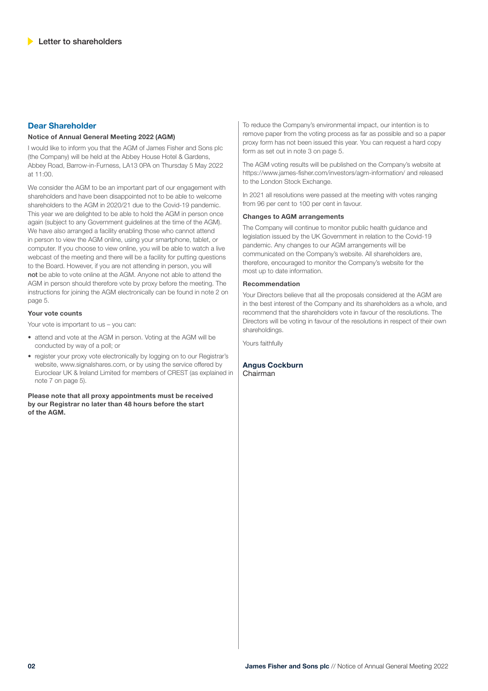## **Dear Shareholder**

### **Notice of Annual General Meeting 2022 (AGM)**

I would like to inform you that the AGM of James Fisher and Sons plc (the Company) will be held at the Abbey House Hotel & Gardens, Abbey Road, Barrow-in-Furness, LA13 0PA on Thursday 5 May 2022 at 11:00.

We consider the AGM to be an important part of our engagement with shareholders and have been disappointed not to be able to welcome shareholders to the AGM in 2020/21 due to the Covid-19 pandemic. This year we are delighted to be able to hold the AGM in person once again (subject to any Government guidelines at the time of the AGM). We have also arranged a facility enabling those who cannot attend in person to view the AGM online, using your smartphone, tablet, or computer. If you choose to view online, you will be able to watch a live webcast of the meeting and there will be a facility for putting questions to the Board. However, if you are not attending in person, you will not be able to vote online at the AGM. Anyone not able to attend the AGM in person should therefore vote by proxy before the meeting. The instructions for joining the AGM electronically can be found in note 2 on page 5.

### **Your vote counts**

Your vote is important to us – you can:

- attend and vote at the AGM in person. Voting at the AGM will be conducted by way of a poll; or
- register your proxy vote electronically by logging on to our Registrar's website, www.signalshares.com, or by using the service offered by Euroclear UK & Ireland Limited for members of CREST (as explained in note 7 on page 5).

**Please note that all proxy appointments must be received by our Registrar no later than 48 hours before the start of the AGM.**

To reduce the Company's environmental impact, our intention is to remove paper from the voting process as far as possible and so a paper proxy form has not been issued this year. You can request a hard copy form as set out in note 3 on page 5.

The AGM voting results will be published on the Company's website at https://www.james-fisher.com/investors/agm-information/ and released to the London Stock Exchange.

In 2021 all resolutions were passed at the meeting with votes ranging from 96 per cent to 100 per cent in favour.

### **Changes to AGM arrangements**

The Company will continue to monitor public health guidance and legislation issued by the UK Government in relation to the Covid-19 pandemic. Any changes to our AGM arrangements will be communicated on the Company's website. All shareholders are, therefore, encouraged to monitor the Company's website for the most up to date information.

### **Recommendation**

Your Directors believe that all the proposals considered at the AGM are in the best interest of the Company and its shareholders as a whole, and recommend that the shareholders vote in favour of the resolutions. The Directors will be voting in favour of the resolutions in respect of their own shareholdings.

Yours faithfully

**Angus Cockburn**  Chairman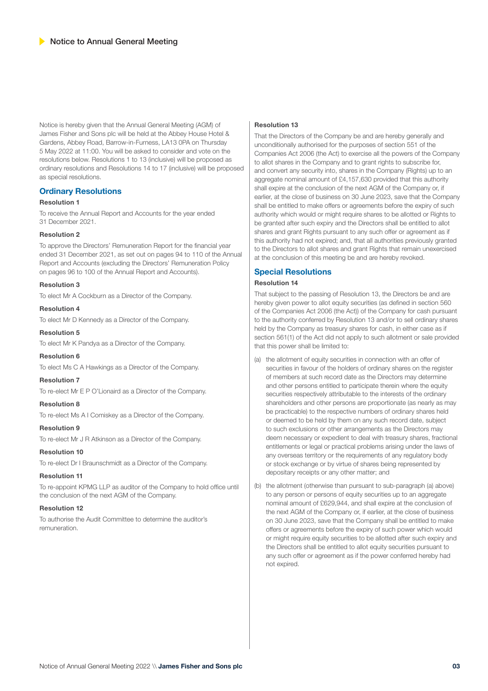Notice is hereby given that the Annual General Meeting (AGM) of James Fisher and Sons plc will be held at the Abbey House Hotel & Gardens, Abbey Road, Barrow-in-Furness, LA13 0PA on Thursday 5 May 2022 at 11:00. You will be asked to consider and vote on the resolutions below. Resolutions 1 to 13 (inclusive) will be proposed as ordinary resolutions and Resolutions 14 to 17 (inclusive) will be proposed as special resolutions.

### **Ordinary Resolutions**

### **Resolution 1**

To receive the Annual Report and Accounts for the year ended 31 December 2021.

### **Resolution 2**

To approve the Directors' Remuneration Report for the financial year ended 31 December 2021, as set out on pages 94 to 110 of the Annual Report and Accounts (excluding the Directors' Remuneration Policy on pages 96 to 100 of the Annual Report and Accounts).

### **Resolution 3**

To elect Mr A Cockburn as a Director of the Company.

### **Resolution 4**

To elect Mr D Kennedy as a Director of the Company.

### **Resolution 5**

To elect Mr K Pandya as a Director of the Company.

### **Resolution 6**

To elect Ms C A Hawkings as a Director of the Company.

### **Resolution 7**

To re-elect Mr E P O'Lionaird as a Director of the Company.

### **Resolution 8**

To re-elect Ms A I Comiskey as a Director of the Company.

# **Resolution 9**

To re-elect Mr J R Atkinson as a Director of the Company.

### **Resolution 10**

To re-elect Dr I Braunschmidt as a Director of the Company.

### **Resolution 11**

To re-appoint KPMG LLP as auditor of the Company to hold office until the conclusion of the next AGM of the Company.

### **Resolution 12**

To authorise the Audit Committee to determine the auditor's remuneration.

### **Resolution 13**

That the Directors of the Company be and are hereby generally and unconditionally authorised for the purposes of section 551 of the Companies Act 2006 (the Act) to exercise all the powers of the Company to allot shares in the Company and to grant rights to subscribe for, and convert any security into, shares in the Company (Rights) up to an aggregate nominal amount of £4,157,630 provided that this authority shall expire at the conclusion of the next AGM of the Company or, if earlier, at the close of business on 30 June 2023, save that the Company shall be entitled to make offers or agreements before the expiry of such authority which would or might require shares to be allotted or Rights to be granted after such expiry and the Directors shall be entitled to allot shares and grant Rights pursuant to any such offer or agreement as if this authority had not expired; and, that all authorities previously granted to the Directors to allot shares and grant Rights that remain unexercised at the conclusion of this meeting be and are hereby revoked.

### **Special Resolutions**

### **Resolution 14**

That subject to the passing of Resolution 13, the Directors be and are hereby given power to allot equity securities (as defined in section 560 of the Companies Act 2006 (the Act)) of the Company for cash pursuant to the authority conferred by Resolution 13 and/or to sell ordinary shares held by the Company as treasury shares for cash, in either case as if section 561(1) of the Act did not apply to such allotment or sale provided that this power shall be limited to:

- (a) the allotment of equity securities in connection with an offer of securities in favour of the holders of ordinary shares on the register of members at such record date as the Directors may determine and other persons entitled to participate therein where the equity securities respectively attributable to the interests of the ordinary shareholders and other persons are proportionate (as nearly as may be practicable) to the respective numbers of ordinary shares held or deemed to be held by them on any such record date, subject to such exclusions or other arrangements as the Directors may deem necessary or expedient to deal with treasury shares, fractional entitlements or legal or practical problems arising under the laws of any overseas territory or the requirements of any regulatory body or stock exchange or by virtue of shares being represented by depositary receipts or any other matter; and
- (b) the allotment (otherwise than pursuant to sub-paragraph (a) above) to any person or persons of equity securities up to an aggregate nominal amount of £629,944, and shall expire at the conclusion of the next AGM of the Company or, if earlier, at the close of business on 30 June 2023, save that the Company shall be entitled to make offers or agreements before the expiry of such power which would or might require equity securities to be allotted after such expiry and the Directors shall be entitled to allot equity securities pursuant to any such offer or agreement as if the power conferred hereby had not expired.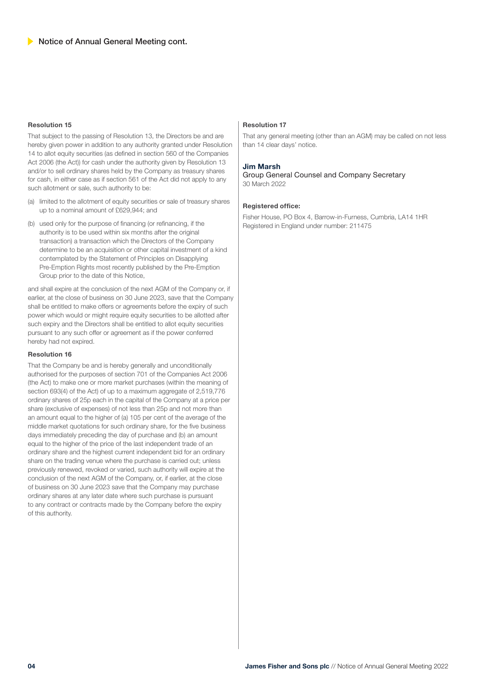### **Resolution 15**

That subject to the passing of Resolution 13, the Directors be and are hereby given power in addition to any authority granted under Resolution 14 to allot equity securities (as defined in section 560 of the Companies Act 2006 (the Act)) for cash under the authority given by Resolution 13 and/or to sell ordinary shares held by the Company as treasury shares for cash, in either case as if section 561 of the Act did not apply to any such allotment or sale, such authority to be:

- (a) limited to the allotment of equity securities or sale of treasury shares up to a nominal amount of £629,944; and
- (b) used only for the purpose of financing (or refinancing, if the authority is to be used within six months after the original transaction) a transaction which the Directors of the Company determine to be an acquisition or other capital investment of a kind contemplated by the Statement of Principles on Disapplying Pre-Emption Rights most recently published by the Pre-Emption Group prior to the date of this Notice,

and shall expire at the conclusion of the next AGM of the Company or, if earlier, at the close of business on 30 June 2023, save that the Company shall be entitled to make offers or agreements before the expiry of such power which would or might require equity securities to be allotted after such expiry and the Directors shall be entitled to allot equity securities pursuant to any such offer or agreement as if the power conferred hereby had not expired.

### **Resolution 16**

That the Company be and is hereby generally and unconditionally authorised for the purposes of section 701 of the Companies Act 2006 (the Act) to make one or more market purchases (within the meaning of section 693(4) of the Act) of up to a maximum aggregate of 2,519,776 ordinary shares of 25p each in the capital of the Company at a price per share (exclusive of expenses) of not less than 25p and not more than an amount equal to the higher of (a) 105 per cent of the average of the middle market quotations for such ordinary share, for the five business days immediately preceding the day of purchase and (b) an amount equal to the higher of the price of the last independent trade of an ordinary share and the highest current independent bid for an ordinary share on the trading venue where the purchase is carried out; unless previously renewed, revoked or varied, such authority will expire at the conclusion of the next AGM of the Company, or, if earlier, at the close of business on 30 June 2023 save that the Company may purchase ordinary shares at any later date where such purchase is pursuant to any contract or contracts made by the Company before the expiry of this authority.

### **Resolution 17**

That any general meeting (other than an AGM) may be called on not less than 14 clear days' notice.

### **Jim Marsh**

Group General Counsel and Company Secretary 30 March 2022

### **Registered office:**

Fisher House, PO Box 4, Barrow-in-Furness, Cumbria, LA14 1HR Registered in England under number: 211475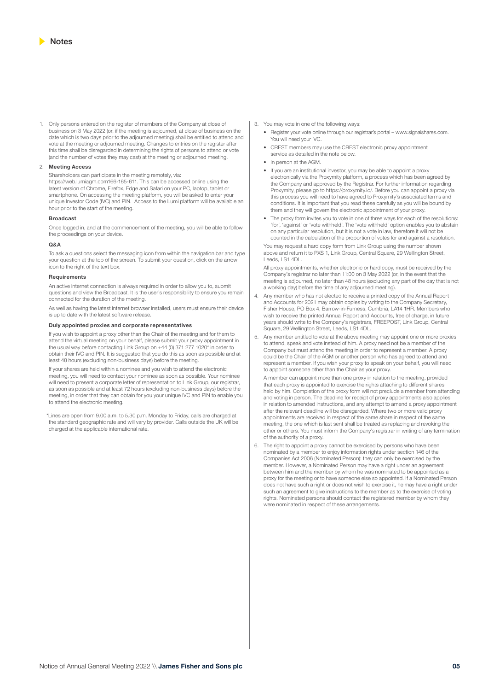1. Only persons entered on the register of members of the Company at close of business on 3 May 2022 (or, if the meeting is adjourned, at close of business on the date which is two days prior to the adjourned meeting) shall be entitled to attend and vote at the meeting or adjourned meeting. Changes to entries on the register after this time shall be disregarded in determining the rights of persons to attend or vote (and the number of votes they may cast) at the meeting or adjourned meeting.

#### 2. **Meeting Access**

Shareholders can participate in the meeting remotely, via: https://web.lumiagm.com166-165-611. This can be accessed online using the latest version of Chrome, Firefox, Edge and Safari on your PC, laptop, tablet or smartphone. On accessing the meeting platform, you will be asked to enter your unique Investor Code (IVC) and PIN. Access to the Lumi platform will be available an hour prior to the start of the meeting.

#### **Broadcast**

Once logged in, and at the commencement of the meeting, you will be able to follow the proceedings on your device.

#### **Q&A**

To ask a questions select the messaging icon from within the navigation bar and type your question at the top of the screen. To submit your question, click on the arrow icon to the right of the text box.

#### **Requirements**

An active internet connection is always required in order to allow you to, submit questions and view the Broadcast. It is the user's responsibility to ensure you remain connected for the duration of the meeting.

As well as having the latest internet browser installed, users must ensure their device is up to date with the latest software release.

#### **Duly appointed proxies and corporate representatives**

If you wish to appoint a proxy other than the Chair of the meeting and for them to attend the virtual meeting on your behalf, please submit your proxy appointment in the usual way before contacting Link Group on +44 (0) 371 277 1020\* in order to obtain their IVC and PIN. It is suggested that you do this as soon as possible and at least 48 hours (excluding non-business days) before the meeting.

If your shares are held within a nominee and you wish to attend the electronic meeting, you will need to contact your nominee as soon as possible. Your nominee will need to present a corporate letter of representation to Link Group, our registrar, as soon as possible and at least 72 hours (excluding non-business days) before the meeting, in order that they can obtain for you your unique IVC and PIN to enable you to attend the electronic meeting.

\*Lines are open from 9.00 a.m. to 5.30 p.m. Monday to Friday, calls are charged at the standard geographic rate and will vary by provider. Calls outside the UK will be charged at the applicable international rate.

- 3. You may vote in one of the following ways:
	- Register your vote online through our registrar's portal www.signalshares.com. You will need your IVC.
	- CREST members may use the CREST electronic proxy appointment service as detailed in the note below.
	- In person at the AGM.
	- If you are an institutional investor, you may be able to appoint a proxy electronically via the Proxymity platform, a process which has been agreed by the Company and approved by the Registrar. For further information regarding Proxymity, please go to https://proxymity.io/. Before you can appoint a proxy via this process you will need to have agreed to Proxymity's associated terms and conditions. It is important that you read these carefully as you will be bound by them and they will govern the electronic appointment of your proxy.
	- The proxy form invites you to vote in one of three ways for each of the resolutions: 'for', 'against' or 'vote withheld'. The 'vote withheld' option enables you to abstain on any particular resolution, but it is not a vote in law, therefore it will not be counted in the calculation of the proportion of votes for and against a resolution.

You may request a hard copy form from Link Group using the number shown above and return it to PXS 1, Link Group, Central Square, 29 Wellington Street, Leeds, LS1 4DI

All proxy appointments, whether electronic or hard copy, must be received by the Company's registrar no later than 11:00 on 3 May 2022 (or, in the event that the meeting is adjourned, no later than 48 hours (excluding any part of the day that is not a working day) before the time of any adjourned meeting).

- 4. Any member who has not elected to receive a printed copy of the Annual Report and Accounts for 2021 may obtain copies by writing to the Company Secretary, Fisher House, PO Box 4, Barrow-in-Furness, Cumbria, LA14 1HR. Members who wish to receive the printed Annual Report and Accounts, free of charge, in future years should write to the Company's registrars, FREEPOST, Link Group, Central Square, 29 Wellington Street, Leeds, LS1 4DL.
- 5. Any member entitled to vote at the above meeting may appoint one or more proxies to attend, speak and vote instead of him. A proxy need not be a member of the Company but must attend the meeting in order to represent a member. A proxy could be the Chair of the AGM or another person who has agreed to attend and represent a member. If you wish your proxy to speak on your behalf, you will need to appoint someone other than the Chair as your proxy.

A member can appoint more than one proxy in relation to the meeting, provided that each proxy is appointed to exercise the rights attaching to different shares held by him. Completion of the proxy form will not preclude a member from attending and voting in person. The deadline for receipt of proxy appointments also applies in relation to amended instructions, and any attempt to amend a proxy appointment after the relevant deadline will be disregarded. Where two or more valid proxy appointments are received in respect of the same share in respect of the same meeting, the one which is last sent shall be treated as replacing and revoking the other or others. You must inform the Company's registrar in writing of any termination of the authority of a proxy.

6. The right to appoint a proxy cannot be exercised by persons who have been nominated by a member to enjoy information rights under section 146 of the Companies Act 2006 (Nominated Person): they can only be exercised by the member. However, a Nominated Person may have a right under an agreement between him and the member by whom he was nominated to be appointed as a proxy for the meeting or to have someone else so appointed. If a Nominated Person does not have such a right or does not wish to exercise it, he may have a right under such an agreement to give instructions to the member as to the exercise of voting rights. Nominated persons should contact the registered member by whom they were nominated in respect of these arrangements.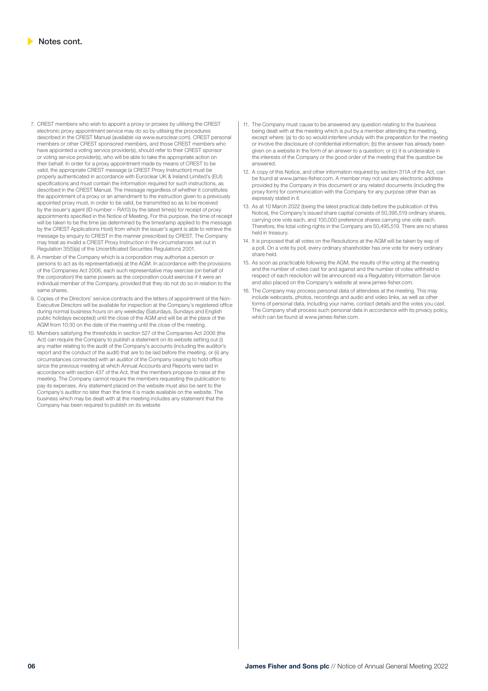- 7. CREST members who wish to appoint a proxy or proxies by utilising the CREST electronic proxy appointment service may do so by utilising the procedures described in the CREST Manual (available via www.euroclear.com). CREST personal members or other CREST sponsored members, and those CREST members who have appointed a voting service provider(s), should refer to their CREST sponsor or voting service provider(s), who will be able to take the appropriate action on their behalf. In order for a proxy appointment made by means of CREST to be valid, the appropriate CREST message (a CREST Proxy Instruction) must be properly authenticated in accordance with Euroclear UK & Ireland Limited's (EUI) specifications and must contain the information required for such instructions, as described in the CREST Manual. The message regardless of whether it constitutes the appointment of a proxy or an amendment to the instruction given to a previously appointed proxy must, in order to be valid, be transmitted so as to be received by the issuer's agent (ID number – RA10) by the latest time(s) for receipt of proxy appointments specified in the Notice of Meeting. For this purpose, the time of receipt will be taken to be the time (as determined by the timestamp applied to the message by the CREST Applications Host) from which the issuer's agent is able to retrieve the message by enquiry to CREST in the manner prescribed by CREST. The Company may treat as invalid a CREST Proxy Instruction in the circumstances set out in Regulation 35(5)(a) of the Uncertificated Securities Regulations 2001.
- 8. A member of the Company which is a corporation may authorise a person or persons to act as its representative(s) at the AGM. In accordance with the provisions of the Companies Act 2006, each such representative may exercise (on behalf of the corporation) the same powers as the corporation could exercise if it were an individual member of the Company, provided that they do not do so in relation to the same shares.
- 9. Copies of the Directors' service contracts and the letters of appointment of the Non-Executive Directors will be available for inspection at the Company's registered office during normal business hours on any weekday (Saturdays, Sundays and English public holidays excepted) until the close of the AGM and will be at the place of the AGM from 10:30 on the date of the meeting until the close of the meeting.
- 10. Members satisfying the thresholds in section 527 of the Companies Act 2006 (the Act) can require the Company to publish a statement on its website setting out (i) any matter relating to the audit of the Company's accounts (including the auditor's report and the conduct of the audit) that are to be laid before the meeting, or (ii) any circumstances connected with an auditor of the Company ceasing to hold office since the previous meeting at which Annual Accounts and Reports were laid in accordance with section 437 of the Act, that the members propose to raise at the meeting. The Company cannot require the members requesting the publication to pay its expenses. Any statement placed on the website must also be sent to the Company's auditor no later than the time it is made available on the website. The business which may be dealt with at the meeting includes any statement that the Company has been required to publish on its website
- 11. The Company must cause to be answered any question relating to the business being dealt with at the meeting which is put by a member attending the meeting, except where: (a) to do so would interfere unduly with the preparation for the meeting or involve the disclosure of confidential information; (b) the answer has already been given on a website in the form of an answer to a question; or (c) it is undesirable in the interests of the Company or the good order of the meeting that the question be answered.
- 12. A copy of this Notice, and other information required by section 311A of the Act, can be found at www.james-fisher.com. A member may not use any electronic address provided by the Company in this document or any related documents (including the proxy form) for communication with the Company for any purpose other than as expressly stated in it.
- 13. As at 10 March 2022 (being the latest practical date before the publication of this Notice), the Company's issued share capital consists of 50,395,519 ordinary shares, carrying one vote each, and 100,000 preference shares carrying one vote each. Therefore, the total voting rights in the Company are 50,495,519. There are no shares held in treasury.
- 14. It is proposed that all votes on the Resolutions at the AGM will be taken by way of a poll. On a vote by poll, every ordinary shareholder has one vote for every ordinary share held.
- 15. As soon as practicable following the AGM, the results of the voting at the meeting and the number of votes cast for and against and the number of votes withheld in respect of each resolution will be announced via a Regulatory Information Service and also placed on the Company's website at www.james-fisher.com.
- The Company may process personal data of attendees at the meeting. This may include webcasts, photos, recordings and audio and video links, as well as other forms of personal data, including your name, contact details and the votes you cast The Company shall process such personal data in accordance with its privacy policy, which can be found at www.james-fisher.com.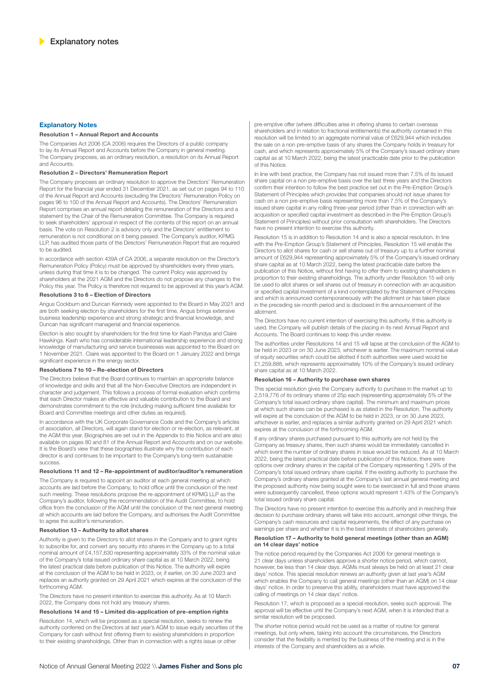### **Explanatory Notes**

#### **Resolution 1 – Annual Report and Accounts**

The Companies Act 2006 (CA 2006) requires the Directors of a public company to lay its Annual Report and Accounts before the Company in general meeting. The Company proposes, as an ordinary resolution, a resolution on its Annual Report and Accounts.

#### **Resolution 2 – Directors' Remuneration Report**

The Company proposes an ordinary resolution to approve the Directors' Remuneration Report for the financial year ended 31 December 2021, as set out on pages 94 to 110 of the Annual Report and Accounts (excluding the Directors' Remuneration Policy on pages 96 to 100 of the Annual Report and Accounts). The Directors' Remuneration Report comprises an annual report detailing the remuneration of the Directors and a statement by the Chair of the Remuneration Committee. The Company is required to seek shareholders' approval in respect of the contents of this report on an annual basis. The vote on Resolution 2 is advisory only and the Directors' entitlement to remuneration is not conditional on it being passed. The Company's auditor, KPMG LLP, has audited those parts of the Directors' Remuneration Report that are required to be audited.

In accordance with section 439A of CA 2006, a separate resolution on the Director's Remuneration Policy (Policy) must be approved by shareholders every three years, unless during that time it is to be changed. The current Policy was approved by shareholders at the 2021 AGM and the Directors do not propose any changes to the Policy this year. The Policy is therefore not required to be approved at this year's AGM.

#### **Resolutions 3 to 6 – Election of Directors**

Angus Cockburn and Duncan Kennedy were appointed to the Board in May 2021 and are both seeking election by shareholders for the first time. Angus brings extensive business leadership experience and strong strategic and financial knowledge, and Duncan has significant managerial and financial experience.

Election is also sought by shareholders for the first time for Kash Pandya and Claire Hawkings. Kash who has considerable international leadership experience and strong knowledge of manufacturing and service businesses was appointed to the Board on 1 November 2021. Claire was appointed to the Board on 1 January 2022 and brings significant experience in the energy sector.

#### **Resolutions 7 to 10 – Re-election of Directors**

The Directors believe that the Board continues to maintain an appropriate balance of knowledge and skills and that all the Non-Executive Directors are independent in character and judgement. This follows a process of formal evaluation which confirms that each Director makes an effective and valuable contribution to the Board and demonstrates commitment to the role (including making sufficient time available for Board and Committee meetings and other duties as required).

In accordance with the UK Corporate Governance Code and the Company's articles of association, all Directors, will again stand for election or re-election, as relevant, at the AGM this year. Biographies are set out in the Appendix to this Notice and are also available on pages 80 and 81 of the Annual Report and Accounts and on our website. It is the Board's view that these biographies illustrate why the contribution of each director is and continues to be important to the Company's long-term sustainable success.

#### **Resolutions 11 and 12 – Re-appointment of auditor/auditor's remuneration**

The Company is required to appoint an auditor at each general meeting at which accounts are laid before the Company, to hold office until the conclusion of the next such meeting. These resolutions propose the re-appointment of KPMG LLP as the Company's auditor, following the recommendation of the Audit Committee, to hold office from the conclusion of the AGM until the conclusion of the next general meeting at which accounts are laid before the Company, and authorises the Audit Committee to agree the auditor's remuneration.

#### **Resolution 13 – Authority to allot shares**

Authority is given to the Directors to allot shares in the Company and to grant rights to subscribe for, and convert any security into shares in the Company up to a total nominal amount of £4,157,630 representing approximately 33% of the nominal value of the Company's total issued ordinary share capital as at 10 March 2022, being the latest practical date before publication of this Notice. The authority will expire at the conclusion of the AGM to be held in 2023, or, if earlier, on 30 June 2023 and replaces an authority granted on 29 April 2021 which expires at the conclusion of the forthcoming AGM.

The Directors have no present intention to exercise this authority. As at 10 March 2022, the Company does not hold any treasury shares.

#### **Resolutions 14 and 15 – Limited dis-application of pre-emption rights**

Resolution 14, which will be proposed as a special resolution, seeks to renew the authority conferred on the Directors at last year's AGM to issue equity securities of the Company for cash without first offering them to existing shareholders in proportion to their existing shareholdings. Other than in connection with a rights issue or other

pre-emptive offer (where difficulties arise in offering shares to certain overseas shareholders and in relation to fractional entitlements) the authority contained in this resolution will be limited to an aggregate nominal value of £629,944 which includes the sale on a non pre-emptive basis of any shares the Company holds in treasury for cash, and which represents approximately 5% of the Company's issued ordinary share capital as at 10 March 2022, being the latest practicable date prior to the publication of this Notice.

In line with best practice, the Company has not issued more than 7.5% of its issued share capital on a non pre-emptive basis over the last three years and the Directors confirm their intention to follow the best practice set out in the Pre-Emption Group's Statement of Principles which provides that companies should not issue shares for cash on a non pre-emptive basis representing more than 7.5% of the Company's issued share capital in any rolling three-year period (other than in connection with an acquisition or specified capital investment as described in the Pre-Emption Group's Statement of Principles) without prior consultation with shareholders. The Directors have no present intention to exercise this authority.

Resolution 15 is in addition to Resolution 14 and is also a special resolution. In line with the Pre-Emption Group's Statement of Principles, Resolution 15 will enable the Directors to allot shares for cash or sell shares out of treasury up to a further nominal amount of £629,944 representing approximately 5% of the Company's issued ordinary share capital as at 10 March 2022, being the latest practicable date before the publication of this Notice, without first having to offer them to existing shareholders in proportion to their existing shareholdings. The authority under Resolution 15 will only be used to allot shares or sell shares out of treasury in connection with an acquisition or specified capital investment of a kind contemplated by the Statement of Principles and which is announced contemporaneously with the allotment or has taken place in the preceding six-month period and is disclosed in the announcement of the allotment.

The Directors have no current intention of exercising this authority. If this authority is used, the Company will publish details of the placing in its next Annual Report and Accounts. The Board continues to keep this under review.

The authorities under Resolutions 14 and 15 will lapse at the conclusion of the AGM to be held in 2023 or on 30 June 2023, whichever is earlier. The maximum nominal value of equity securities which could be allotted if both authorities were used would be £1,259,888, which represents approximately 10% of the Company's issued ordinary share capital as at 10 March 2022.

#### **Resolution 16 – Authority to purchase own shares**

This special resolution gives the Company authority to purchase in the market up to 2,519,776 of its ordinary shares of 25p each (representing approximately 5% of the Company's total issued ordinary share capital). The minimum and maximum prices at which such shares can be purchased is as stated in the Resolution. The authority will expire at the conclusion of the AGM to be held in 2023, or on 30 June 2023, whichever is earlier, and replaces a similar authority granted on 29 April 2021 which expires at the conclusion of the forthcoming AGM.

If any ordinary shares purchased pursuant to this authority are not held by the Company as treasury shares, then such shares would be immediately cancelled in which event the number of ordinary shares in issue would be reduced. As at 10 March 2022, being the latest practical date before publication of this Notice, there were options over ordinary shares in the capital of the Company representing 1.29% of the Company's total issued ordinary share capital. If the existing authority to purchase the Company's ordinary shares granted at the Company's last annual general meeting and the proposed authority now being sought were to be exercised in full and those shares were subsequently cancelled, these options would represent 1.43% of the Company's total issued ordinary share capital.

The Directors have no present intention to exercise this authority and in reaching their decision to purchase ordinary shares will take into account, amongst other things, the Company's cash resources and capital requirements, the effect of any purchase on earnings per share and whether it is in the best interests of shareholders generally.

### **Resolution 17 – Authority to hold general meetings (other than an AGM) on 14 clear days' notice**

The notice period required by the Companies Act 2006 for general meetings is 21 clear days unless shareholders approve a shorter notice period, which cannot, however, be less than 14 clear days. AGMs must always be held on at least 21 clear days' notice. This special resolution renews an authority given at last year's AGM which enables the Company to call general meetings (other than an AGM) on 14 clear days' notice. In order to preserve this ability, shareholders must have approved the calling of meetings on 14 clear days' notice.

Resolution 17, which is proposed as a special resolution, seeks such approval. The approval will be effective until the Company's next AGM, when it is intended that a similar resolution will be proposed.

The shorter notice period would not be used as a matter of routine for general meetings, but only where, taking into account the circumstances, the Directors consider that the flexibility is merited by the business of the meeting and is in the interests of the Company and shareholders as a whole.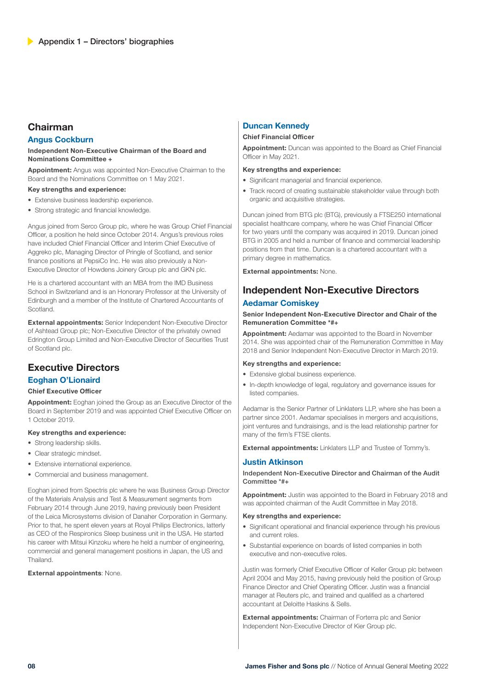# **Chairman**

### **Angus Cockburn**

### **Independent Non-Executive Chairman of the Board and Nominations Committee +**

**Appointment:** Angus was appointed Non-Executive Chairman to the Board and the Nominations Committee on 1 May 2021.

### **Key strengths and experience:**

- Extensive business leadership experience.
- Strong strategic and financial knowledge.

Angus joined from Serco Group plc, where he was Group Chief Financial Officer, a position he held since October 2014. Angus's previous roles have included Chief Financial Officer and Interim Chief Executive of Aggreko plc, Managing Director of Pringle of Scotland, and senior finance positions at PepsiCo Inc. He was also previously a Non-Executive Director of Howdens Joinery Group plc and GKN plc.

He is a chartered accountant with an MBA from the IMD Business School in Switzerland and is an Honorary Professor at the University of Edinburgh and a member of the Institute of Chartered Accountants of Scotland.

**External appointments:** Senior Independent Non-Executive Director of Ashtead Group plc; Non-Executive Director of the privately owned Edrington Group Limited and Non-Executive Director of Securities Trust of Scotland plc.

# **Executive Directors**

### **Eoghan O'Lionaird**

### **Chief Executive Officer**

**Appointment:** Eoghan joined the Group as an Executive Director of the Board in September 2019 and was appointed Chief Executive Officer on 1 October 2019.

### **Key strengths and experience:**

- Strong leadership skills.
- Clear strategic mindset.
- Extensive international experience.
- Commercial and business management.

Eoghan joined from Spectris plc where he was Business Group Director of the Materials Analysis and Test & Measurement segments from February 2014 through June 2019, having previously been President of the Leica Microsystems division of Danaher Corporation in Germany. Prior to that, he spent eleven years at Royal Philips Electronics, latterly as CEO of the Respironics Sleep business unit in the USA. He started his career with Mitsui Kinzoku where he held a number of engineering, commercial and general management positions in Japan, the US and Thailand.

### **External appointments**: None.

# **Duncan Kennedy**

### **Chief Financial Officer**

**Appointment:** Duncan was appointed to the Board as Chief Financial Officer in May 2021.

### **Key strengths and experience:**

- Significant managerial and financial experience.
- Track record of creating sustainable stakeholder value through both organic and acquisitive strategies.

Duncan joined from BTG plc (BTG), previously a FTSE250 international specialist healthcare company, where he was Chief Financial Officer for two years until the company was acquired in 2019. Duncan joined BTG in 2005 and held a number of finance and commercial leadership positions from that time. Duncan is a chartered accountant with a primary degree in mathematics.

**External appointments:** None.

# **Independent Non-Executive Directors Aedamar Comiskey**

### **Senior Independent Non-Executive Director and Chair of the Remuneration Committee \*#+**

**Appointment:** Aedamar was appointed to the Board in November 2014. She was appointed chair of the Remuneration Committee in May 2018 and Senior Independent Non-Executive Director in March 2019.

### **Key strengths and experience:**

- Extensive global business experience.
- In-depth knowledge of legal, regulatory and governance issues for listed companies.

Aedamar is the Senior Partner of Linklaters LLP, where she has been a partner since 2001. Aedamar specialises in mergers and acquisitions, joint ventures and fundraisings, and is the lead relationship partner for many of the firm's FTSE clients.

**External appointments:** Linklaters LLP and Trustee of Tommy's.

### **Justin Atkinson**

Independent Non-Executive Director and Chairman of the Audit Committee \*#+

**Appointment:** Justin was appointed to the Board in February 2018 and was appointed chairman of the Audit Committee in May 2018.

### **Key strengths and experience:**

- Significant operational and financial experience through his previous and current roles.
- Substantial experience on boards of listed companies in both executive and non-executive roles.

Justin was formerly Chief Executive Officer of Keller Group plc between April 2004 and May 2015, having previously held the position of Group Finance Director and Chief Operating Officer. Justin was a financial manager at Reuters plc, and trained and qualified as a chartered accountant at Deloitte Haskins & Sells.

**External appointments:** Chairman of Forterra plc and Senior Independent Non-Executive Director of Kier Group plc.